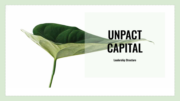# **UNPACT CAPITAL**

**Leadership Structure**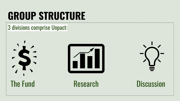# **GROUP STRUCTURE**

### 3 divisions comprise Unpact:







### The Fund Research Discussion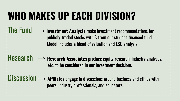# **WHO MAKES UP EACH DIVISION?**

- The Fund → **Investment Analysts** make investment recommendations for publicly-traded stocks with \$ from our student-financed fund. Model includes a blend of valuation and ESG analysis.
- $\mathbb{R}$ **Research**  $\longrightarrow$  **Research Associates** produce equity research, industry analyses, etc. to be considered in our investment decisions.
- Discussion → **Affiliates** engage in discussions around business and ethics with peers, industry professionals, and educators.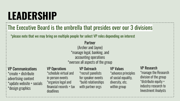### **LEADERSHIP**

### The Executive Board is the umbrella that presides over our 3 divisions

\*please note that we may bring on multiple people for select VP roles depending on interest

#### Partner

(Archer and Jayne) \*manage legal, banking, and accounting operations \*oversee all aspects of the group

#### VP Communications

\*create + distribute advertising content \*update website + socials \*design graphics

#### VP Operations

\*schedule virtual and in-person events \*organize legal and financial records + tax deadlines

### VP Outreach

\*recruit panelists for speaker events \*build relationships with partner orgs

#### VP Values

\*advance principles of social equality, diversity, etc. within group

#### VP Research

\*manage the Research division of the group \*distribute equity + industry research to Investment Analysts